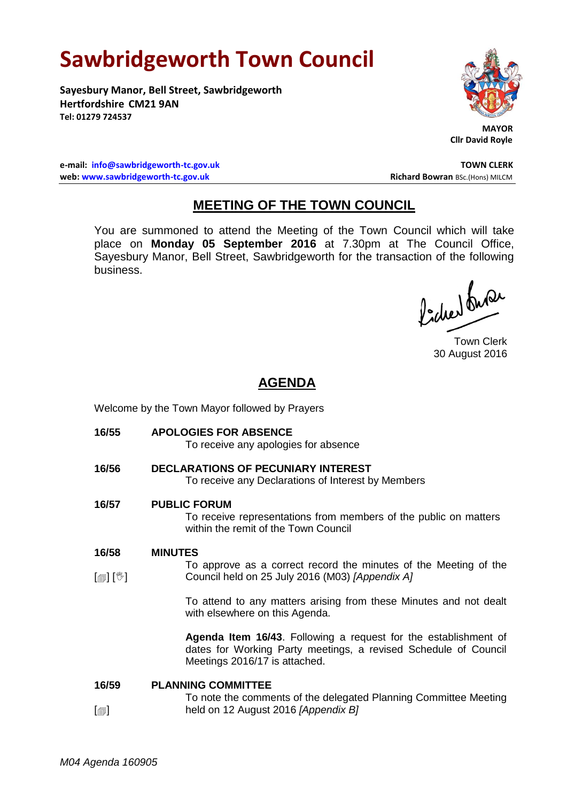# **Sawbridgeworth Town Council**

**Sayesbury Manor, Bell Street, Sawbridgeworth Hertfordshire CM21 9AN Tel: 01279 724537**



 **MAYOR Cllr David Royle**

**e-mail: [info@sawbridgeworth-tc.gov.uk](mailto:info@sawbridgeworth-tc.gov.uk) TOWN CLERK web: www.sawbridgeworth-tc.gov.uk Richard Bowran BSc.(Hons) MILCM Richard Bowran BSc.(Hons) MILCM** 

# **MEETING OF THE TOWN COUNCIL**

You are summoned to attend the Meeting of the Town Council which will take place on **Monday 05 September 2016** at 7.30pm at The Council Office, Sayesbury Manor, Bell Street, Sawbridgeworth for the transaction of the following business.

lacher buse

Town Clerk 30 August 2016

# **AGENDA**

Welcome by the Town Mayor followed by Prayers

- **16/55 APOLOGIES FOR ABSENCE** To receive any apologies for absence **16/56 DECLARATIONS OF PECUNIARY INTEREST** To receive any Declarations of Interest by Members **16/57 PUBLIC FORUM** To receive representations from members of the public on matters within the remit of the Town Council **16/58**  $\lceil$  [ $\parallel$   $\parallel$   $\parallel$   $\parallel$   $\parallel$ **MINUTES** To approve as a correct record the minutes of the Meeting of the Council held on 25 July 2016 (M03) *[Appendix A]* To attend to any matters arising from these Minutes and not dealt with elsewhere on this Agenda. **Agenda Item 16/43**. Following a request for the establishment of dates for Working Party meetings, a revised Schedule of Council Meetings 2016/17 is attached. **16/59 PLANNING COMMITTEE** To note the comments of the delegated Planning Committee Meeting
- $\lceil$  $\blacksquare$ held on 12 August 2016 *[Appendix B]*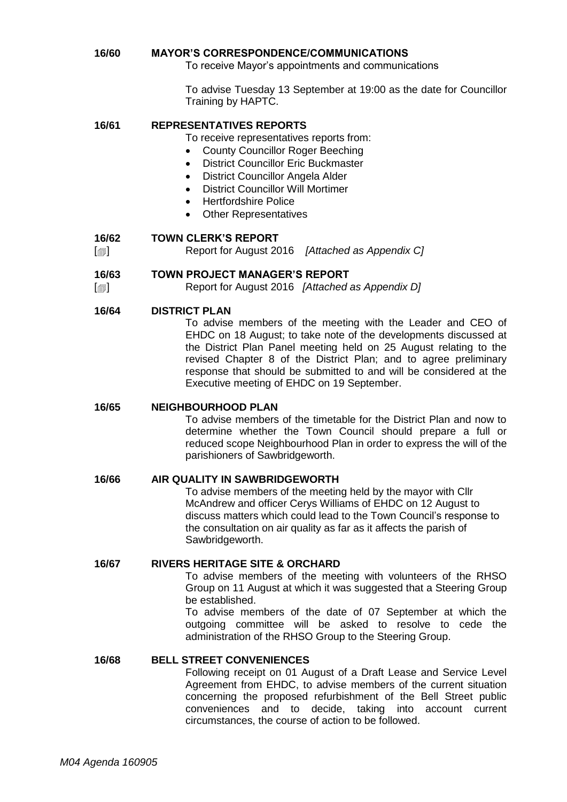#### **16/60 MAYOR'S CORRESPONDENCE/COMMUNICATIONS**

To receive Mayor's appointments and communications

To advise Tuesday 13 September at 19:00 as the date for Councillor Training by HAPTC.

#### **16/61 REPRESENTATIVES REPORTS**

To receive representatives reports from:

- County Councillor Roger Beeching
- District Councillor Eric Buckmaster
- District Councillor Angela Alder
- District Councillor Will Mortimer
- Hertfordshire Police
- Other Representatives

#### **16/62 TOWN CLERK'S REPORT**

 $\lceil$  $\blacksquare$ Report for August 2016 *[Attached as Appendix C]*

#### **16/63 TOWN PROJECT MANAGER'S REPORT**

 $\lceil$  $\blacksquare$ Report for August 2016 *[Attached as Appendix D]*

#### **16/64 DISTRICT PLAN**

To advise members of the meeting with the Leader and CEO of EHDC on 18 August; to take note of the developments discussed at the District Plan Panel meeting held on 25 August relating to the revised Chapter 8 of the District Plan; and to agree preliminary response that should be submitted to and will be considered at the Executive meeting of EHDC on 19 September.

#### **16/65 NEIGHBOURHOOD PLAN**

To advise members of the timetable for the District Plan and now to determine whether the Town Council should prepare a full or reduced scope Neighbourhood Plan in order to express the will of the parishioners of Sawbridgeworth.

#### **16/66 AIR QUALITY IN SAWBRIDGEWORTH**

To advise members of the meeting held by the mayor with Cllr McAndrew and officer Cerys Williams of EHDC on 12 August to discuss matters which could lead to the Town Council's response to the consultation on air quality as far as it affects the parish of Sawbridgeworth.

#### **16/67 RIVERS HERITAGE SITE & ORCHARD**

To advise members of the meeting with volunteers of the RHSO Group on 11 August at which it was suggested that a Steering Group be established.

To advise members of the date of 07 September at which the outgoing committee will be asked to resolve to cede the administration of the RHSO Group to the Steering Group.

#### **16/68 BELL STREET CONVENIENCES**

Following receipt on 01 August of a Draft Lease and Service Level Agreement from EHDC, to advise members of the current situation concerning the proposed refurbishment of the Bell Street public conveniences and to decide, taking into account current circumstances, the course of action to be followed.